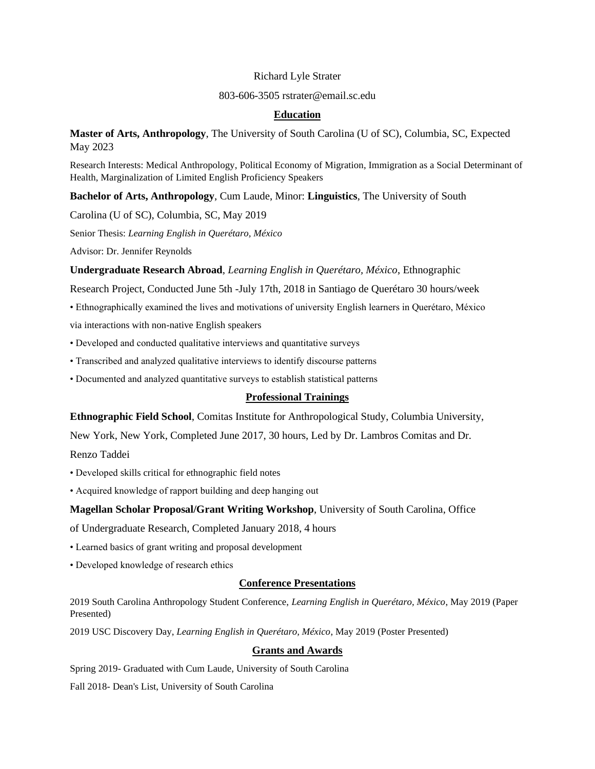#### Richard Lyle Strater

#### 803-606-3505 rstrater@email.sc.edu

# **Education**

**Master of Arts, Anthropology**, The University of South Carolina (U of SC), Columbia, SC, Expected May 2023

Research Interests: Medical Anthropology, Political Economy of Migration, Immigration as a Social Determinant of Health, Marginalization of Limited English Proficiency Speakers

**Bachelor of Arts, Anthropology**, Cum Laude, Minor: **Linguistics**, The University of South

Carolina (U of SC), Columbia, SC, May 2019

Senior Thesis: *Learning English in Querétaro, México*

Advisor: Dr. Jennifer Reynolds

**Undergraduate Research Abroad**, *Learning English in Querétaro, México*, Ethnographic

Research Project, Conducted June 5th -July 17th, 2018 in Santiago de Querétaro 30 hours/week

- Ethnographically examined the lives and motivations of university English learners in Querétaro, México via interactions with non-native English speakers
- Developed and conducted qualitative interviews and quantitative surveys
- Transcribed and analyzed qualitative interviews to identify discourse patterns
- Documented and analyzed quantitative surveys to establish statistical patterns

## **Professional Trainings**

**Ethnographic Field School**, Comitas Institute for Anthropological Study, Columbia University,

New York, New York, Completed June 2017, 30 hours, Led by Dr. Lambros Comitas and Dr.

Renzo Taddei

- Developed skills critical for ethnographic field notes
- Acquired knowledge of rapport building and deep hanging out

## **Magellan Scholar Proposal/Grant Writing Workshop**, University of South Carolina, Office

of Undergraduate Research, Completed January 2018, 4 hours

- Learned basics of grant writing and proposal development
- Developed knowledge of research ethics

## **Conference Presentations**

2019 South Carolina Anthropology Student Conference, *Learning English in Querétaro, México*, May 2019 (Paper Presented)

2019 USC Discovery Day, *Learning English in Querétaro, México*, May 2019 (Poster Presented)

## **Grants and Awards**

Spring 2019- Graduated with Cum Laude, University of South Carolina

Fall 2018- Dean's List, University of South Carolina